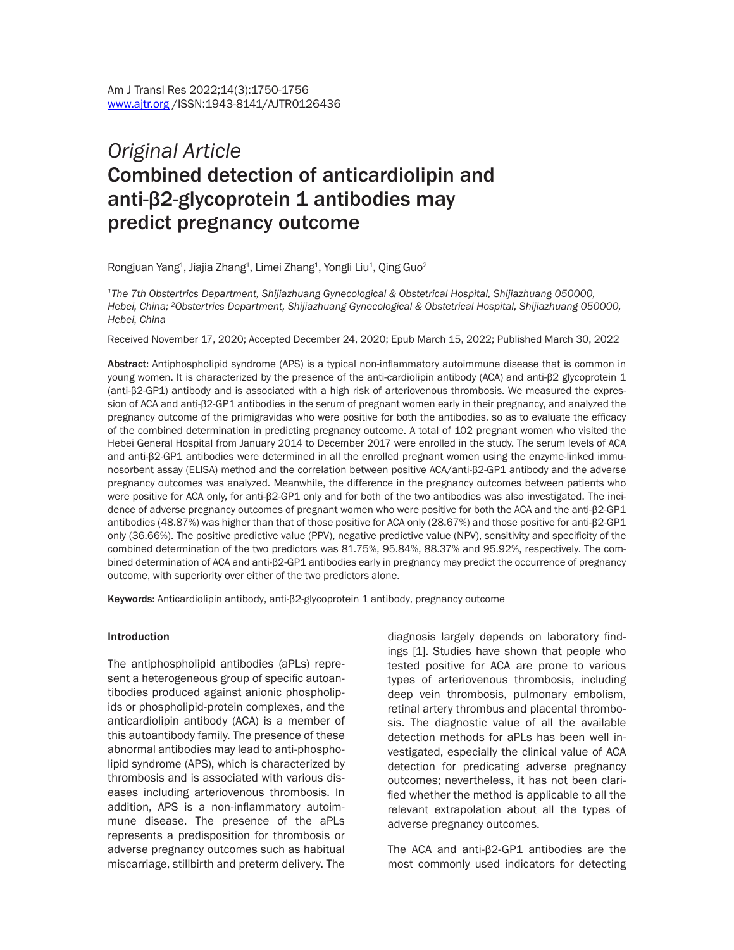# *Original Article*  Combined detection of anticardiolipin and anti-β2-glycoprotein 1 antibodies may predict pregnancy outcome

Rongjuan Yang $^1$ , Jiajia Zhang $^1$ , Limei Zhang $^1$ , Yongli Liu $^1$ , Qing Guo $^2$ 

*1The 7th Obstertrics Department, Shijiazhuang Gynecological & Obstetrical Hospital, Shijiazhuang 050000, Hebei, China; 2Obstertrics Department, Shijiazhuang Gynecological & Obstetrical Hospital, Shijiazhuang 050000, Hebei, China*

Received November 17, 2020; Accepted December 24, 2020; Epub March 15, 2022; Published March 30, 2022

Abstract: Antiphospholipid syndrome (APS) is a typical non-inflammatory autoimmune disease that is common in young women. It is characterized by the presence of the anti-cardiolipin antibody (ACA) and anti-β2 glycoprotein 1 (anti-β2-GP1) antibody and is associated with a high risk of arteriovenous thrombosis. We measured the expression of ACA and anti-β2-GP1 antibodies in the serum of pregnant women early in their pregnancy, and analyzed the pregnancy outcome of the primigravidas who were positive for both the antibodies, so as to evaluate the efficacy of the combined determination in predicting pregnancy outcome. A total of 102 pregnant women who visited the Hebei General Hospital from January 2014 to December 2017 were enrolled in the study. The serum levels of ACA and anti-β2-GP1 antibodies were determined in all the enrolled pregnant women using the enzyme-linked immunosorbent assay (ELISA) method and the correlation between positive ACA/anti-β2-GP1 antibody and the adverse pregnancy outcomes was analyzed. Meanwhile, the difference in the pregnancy outcomes between patients who were positive for ACA only, for anti-β2-GP1 only and for both of the two antibodies was also investigated. The incidence of adverse pregnancy outcomes of pregnant women who were positive for both the ACA and the anti-β2-GP1 antibodies (48.87%) was higher than that of those positive for ACA only (28.67%) and those positive for anti-β2-GP1 only (36.66%). The positive predictive value (PPV), negative predictive value (NPV), sensitivity and specificity of the combined determination of the two predictors was 81.75%, 95.84%, 88.37% and 95.92%, respectively. The combined determination of ACA and anti-β2-GP1 antibodies early in pregnancy may predict the occurrence of pregnancy outcome, with superiority over either of the two predictors alone.

Keywords: Anticardiolipin antibody, anti-β2-glycoprotein 1 antibody, pregnancy outcome

#### Introduction

The antiphospholipid antibodies (aPLs) represent a heterogeneous group of specific autoantibodies produced against anionic phospholipids or phospholipid-protein complexes, and the anticardiolipin antibody (ACA) is a member of this autoantibody family. The presence of these abnormal antibodies may lead to anti-phospholipid syndrome (APS), which is characterized by thrombosis and is associated with various diseases including arteriovenous thrombosis. In addition, APS is a non-inflammatory autoimmune disease. The presence of the aPLs represents a predisposition for thrombosis or adverse pregnancy outcomes such as habitual miscarriage, stillbirth and preterm delivery. The diagnosis largely depends on laboratory findings [1]. Studies have shown that people who tested positive for ACA are prone to various types of arteriovenous thrombosis, including deep vein thrombosis, pulmonary embolism, retinal artery thrombus and placental thrombosis. The diagnostic value of all the available detection methods for aPLs has been well investigated, especially the clinical value of ACA detection for predicating adverse pregnancy outcomes; nevertheless, it has not been clarified whether the method is applicable to all the relevant extrapolation about all the types of adverse pregnancy outcomes.

The ACA and anti-β2-GP1 antibodies are the most commonly used indicators for detecting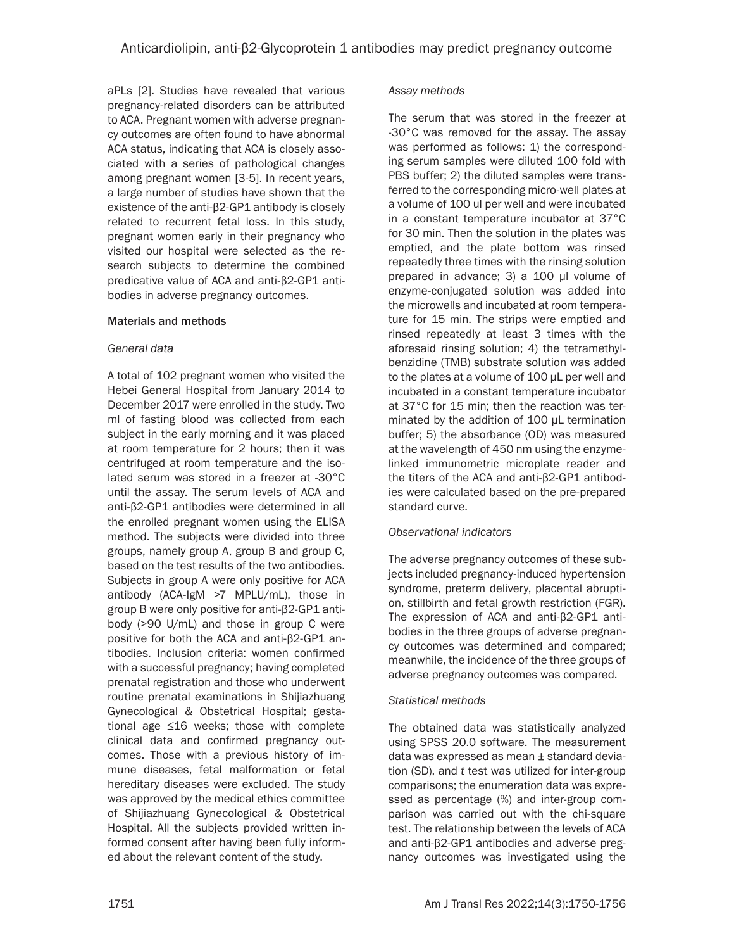aPLs [2]. Studies have revealed that various pregnancy-related disorders can be attributed to ACA. Pregnant women with adverse pregnancy outcomes are often found to have abnormal ACA status, indicating that ACA is closely associated with a series of pathological changes among pregnant women [3-5]. In recent years, a large number of studies have shown that the existence of the anti-β2-GP1 antibody is closely related to recurrent fetal loss. In this study, pregnant women early in their pregnancy who visited our hospital were selected as the research subjects to determine the combined predicative value of ACA and anti-β2-GP1 antibodies in adverse pregnancy outcomes.

### Materials and methods

### *General data*

A total of 102 pregnant women who visited the Hebei General Hospital from January 2014 to December 2017 were enrolled in the study. Two ml of fasting blood was collected from each subject in the early morning and it was placed at room temperature for 2 hours; then it was centrifuged at room temperature and the isolated serum was stored in a freezer at -30°C until the assay. The serum levels of ACA and anti-β2-GP1 antibodies were determined in all the enrolled pregnant women using the ELISA method. The subjects were divided into three groups, namely group A, group B and group C, based on the test results of the two antibodies. Subjects in group A were only positive for ACA antibody (ACA-IgM >7 MPLU/mL), those in group B were only positive for anti-β2-GP1 antibody (>90 U/mL) and those in group C were positive for both the ACA and anti-β2-GP1 antibodies. Inclusion criteria: women confirmed with a successful pregnancy; having completed prenatal registration and those who underwent routine prenatal examinations in Shijiazhuang Gynecological & Obstetrical Hospital; gestational age ≤16 weeks; those with complete clinical data and confirmed pregnancy outcomes. Those with a previous history of immune diseases, fetal malformation or fetal hereditary diseases were excluded. The study was approved by the medical ethics committee of Shijiazhuang Gynecological & Obstetrical Hospital. All the subjects provided written informed consent after having been fully informed about the relevant content of the study.

#### *Assay methods*

The serum that was stored in the freezer at -30°C was removed for the assay. The assay was performed as follows: 1) the corresponding serum samples were diluted 100 fold with PBS buffer; 2) the diluted samples were transferred to the corresponding micro-well plates at a volume of 100 ul per well and were incubated in a constant temperature incubator at 37°C for 30 min. Then the solution in the plates was emptied, and the plate bottom was rinsed repeatedly three times with the rinsing solution prepared in advance; 3) a 100 μl volume of enzyme-conjugated solution was added into the microwells and incubated at room temperature for 15 min. The strips were emptied and rinsed repeatedly at least 3 times with the aforesaid rinsing solution; 4) the tetramethylbenzidine (TMB) substrate solution was added to the plates at a volume of 100 μL per well and incubated in a constant temperature incubator at 37°C for 15 min; then the reaction was terminated by the addition of 100 μL termination buffer; 5) the absorbance (OD) was measured at the wavelength of 450 nm using the enzymelinked immunometric microplate reader and the titers of the ACA and anti-β2-GP1 antibodies were calculated based on the pre-prepared standard curve.

## *Observational indicators*

The adverse pregnancy outcomes of these subjects included pregnancy-induced hypertension syndrome, preterm delivery, placental abruption, stillbirth and fetal growth restriction (FGR). The expression of ACA and anti-β2-GP1 antibodies in the three groups of adverse pregnancy outcomes was determined and compared; meanwhile, the incidence of the three groups of adverse pregnancy outcomes was compared.

## *Statistical methods*

The obtained data was statistically analyzed using SPSS 20.0 software. The measurement data was expressed as mean ± standard deviation (SD), and *t* test was utilized for inter-group comparisons; the enumeration data was expressed as percentage (%) and inter-group comparison was carried out with the chi-square test. The relationship between the levels of ACA and anti-β2-GP1 antibodies and adverse pregnancy outcomes was investigated using the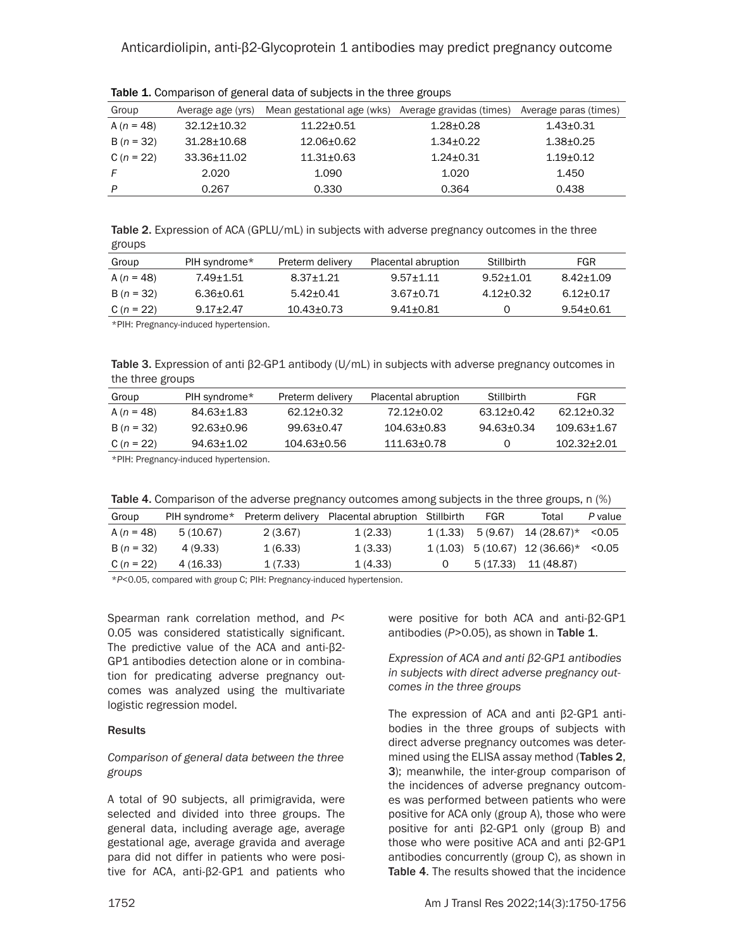## Anticardiolipin, anti-β2-Glycoprotein 1 antibodies may predict pregnancy outcome

| Group        | Average age (yrs) | Mean gestational age (wks) | Average gravidas (times) | Average paras (times) |
|--------------|-------------------|----------------------------|--------------------------|-----------------------|
| A $(n = 48)$ | $32.12 \pm 10.32$ | $11.22 \pm 0.51$           | $1.28 \pm 0.28$          | $1.43 \pm 0.31$       |
| $B(n = 32)$  | $31.28 \pm 10.68$ | 12.06+0.62                 | $1.34 + 0.22$            | $1.38 \pm 0.25$       |
| C $(n = 22)$ | 33.36±11.02       | $11.31 + 0.63$             | $1.24 + 0.31$            | $1.19 + 0.12$         |
| F            | 2.020             | 1.090                      | 1.020                    | 1.450                 |
| P            | 0.267             | 0.330                      | 0.364                    | 0.438                 |
|              |                   |                            |                          |                       |

Table 1. Comparison of general data of subjects in the three groups

Table 2. Expression of ACA (GPLU/mL) in subjects with adverse pregnancy outcomes in the three groups

| Group          | PIH syndrome* | Preterm delivery | Placental abruption | Stillbirth    | FGR           |
|----------------|---------------|------------------|---------------------|---------------|---------------|
| A $(n = 48)$   | 7.49+1.51     | $8.37 + 1.21$    | $9.57 + 1.11$       | $9.52 + 1.01$ | $8.42 + 1.09$ |
| $B(n = 32)$    | 6.36+0.61     | $5.42 + 0.41$    | $3.67 + 0.71$       | $4.12 + 0.32$ | $6.12 + 0.17$ |
| C ( $n = 22$ ) | $9.17 + 2.47$ | $10.43 + 0.73$   | $9.41 + 0.81$       |               | $9.54 + 0.61$ |
|                |               |                  |                     |               |               |

\*PIH: Pregnancy-induced hypertension.

Table 3. Expression of anti β2-GP1 antibody (U/mL) in subjects with adverse pregnancy outcomes in the three groups

| Group          | PIH syndrome* | Preterm delivery | Placental abruption | Stillbirth     | FGR             |
|----------------|---------------|------------------|---------------------|----------------|-----------------|
| A $(n = 48)$   | 84.63+1.83    | 62.12+0.32       | 72.12+0.02          | 63.12+0.42     | 62.12+0.32      |
| $B(n = 32)$    | 92.63+0.96    | $99.63 + 0.47$   | $104.63 + 0.83$     | $94.63 + 0.34$ | 109.63+1.67     |
| C ( $n = 22$ ) | 94.63+1.02    | $104.63 + 0.56$  | 111.63+0.78         |                | $102.32 + 2.01$ |

\*PIH: Pregnancy-induced hypertension.

|  |  |  |  |  |  | Table 4. Comparison of the adverse pregnancy outcomes among subjects in the three groups, n (%) |
|--|--|--|--|--|--|-------------------------------------------------------------------------------------------------|
|--|--|--|--|--|--|-------------------------------------------------------------------------------------------------|

| Group          | PIH syndrome* |         | Preterm delivery Placental abruption Stillbirth | FGR | Total                                   | P value |
|----------------|---------------|---------|-------------------------------------------------|-----|-----------------------------------------|---------|
| A ( $n = 48$ ) | 5(10.67)      | 2(3.67) | 1(2.33)                                         |     | $1(1.33)$ 5 (9.67) $14(28.67)^*$ < 0.05 |         |
| $B(n = 32)$    | 4 (9.33)      | 1(6.33) | 1(3.33)                                         |     | $1(1.03)$ 5 (10.67) 12 (36.66)* <0.05   |         |
| C ( $n = 22$ ) | 4 (16.33)     | 1(7.33) | 1(4.33)                                         |     | 5 (17.33) 11 (48.87)                    |         |
|                |               |         |                                                 |     |                                         |         |

\**P*<0.05, compared with group C; PIH: Pregnancy-induced hypertension.

Spearman rank correlation method, and *P*< 0.05 was considered statistically significant. The predictive value of the ACA and anti-β2- GP1 antibodies detection alone or in combination for predicating adverse pregnancy outcomes was analyzed using the multivariate logistic regression model.

#### **Results**

#### *Comparison of general data between the three groups*

A total of 90 subjects, all primigravida, were selected and divided into three groups. The general data, including average age, average gestational age, average gravida and average para did not differ in patients who were positive for ACA, anti-β2-GP1 and patients who were positive for both ACA and anti-β2-GP1 antibodies (*P*>0.05), as shown in Table 1.

*Expression of ACA and anti β2-GP1 antibodies in subjects with direct adverse pregnancy outcomes in the three groups*

The expression of ACA and anti β2-GP1 antibodies in the three groups of subjects with direct adverse pregnancy outcomes was determined using the ELISA assay method (Tables 2, 3); meanwhile, the inter-group comparison of the incidences of adverse pregnancy outcomes was performed between patients who were positive for ACA only (group A), those who were positive for anti β2-GP1 only (group B) and those who were positive ACA and anti β2-GP1 antibodies concurrently (group C), as shown in Table 4. The results showed that the incidence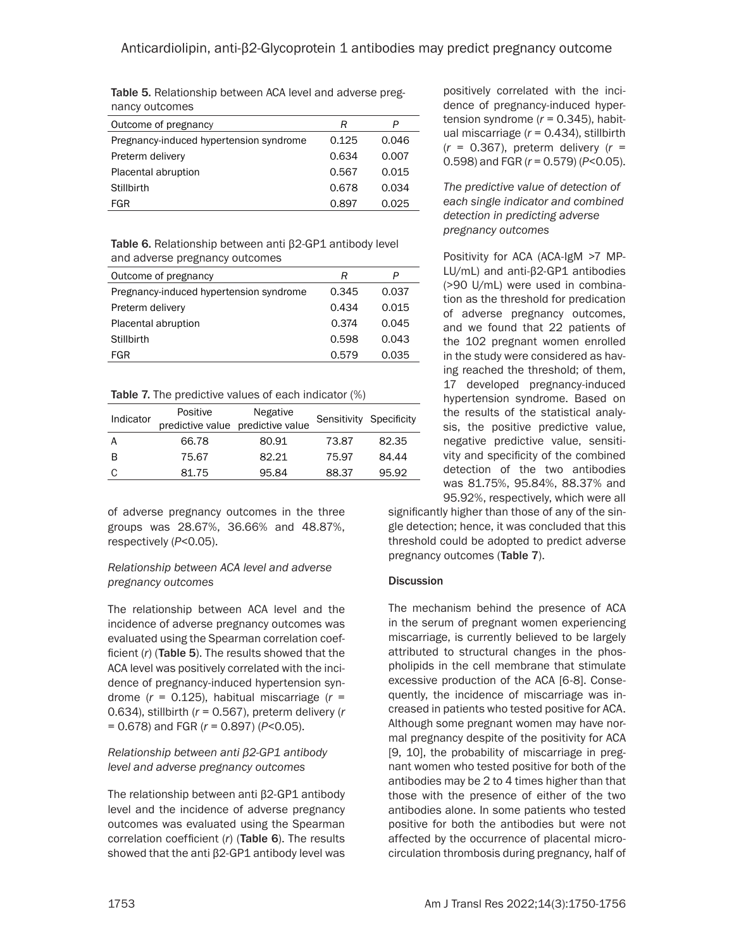Table 5. Relationship between ACA level and adverse pregnancy outcomes

| Outcome of pregnancy                    | R     | P     |
|-----------------------------------------|-------|-------|
| Pregnancy-induced hypertension syndrome | 0.125 | 0.046 |
| Preterm delivery                        | 0.634 | 0.007 |
| Placental abruption                     | 0.567 | 0.015 |
| Stillbirth                              | 0.678 | 0.034 |
| FGR                                     | 0.897 | 0.025 |

Table 6. Relationship between anti β2-GP1 antibody level and adverse pregnancy outcomes

| Outcome of pregnancy                    | R     | P     |
|-----------------------------------------|-------|-------|
| Pregnancy-induced hypertension syndrome | 0.345 | 0.037 |
| Preterm delivery                        | 0.434 | 0.015 |
| Placental abruption                     | 0.374 | 0.045 |
| <b>Stillbirth</b>                       | 0.598 | 0.043 |
| FGR                                     | 0.579 | 0.035 |

Table 7. The predictive values of each indicator (%)

| Indicator | Positive | Negative<br>predictive value predictive value | Sensitivity Specificity |       |
|-----------|----------|-----------------------------------------------|-------------------------|-------|
| A         | 66.78    | 80.91                                         | 73.87                   | 82.35 |
| B         | 75.67    | 82.21                                         | 75.97                   | 84.44 |
| C         | 81.75    | 95.84                                         | 88.37                   | 95.92 |

of adverse pregnancy outcomes in the three groups was 28.67%, 36.66% and 48.87%, respectively (*P*<0.05).

### *Relationship between ACA level and adverse pregnancy outcomes*

The relationship between ACA level and the incidence of adverse pregnancy outcomes was evaluated using the Spearman correlation coefficient (*r*) (Table 5). The results showed that the ACA level was positively correlated with the incidence of pregnancy-induced hypertension syndrome (*r* = 0.125), habitual miscarriage (*r* = 0.634), stillbirth (*r* = 0.567), preterm delivery (*r* = 0.678) and FGR (*r* = 0.897) (*P*<0.05).

### *Relationship between anti β2-GP1 antibody level and adverse pregnancy outcomes*

The relationship between anti β2-GP1 antibody level and the incidence of adverse pregnancy outcomes was evaluated using the Spearman correlation coefficient (*r*) (Table 6). The results showed that the anti β2-GP1 antibody level was positively correlated with the incidence of pregnancy-induced hypertension syndrome (*r* = 0.345), habitual miscarriage (*r* = 0.434), stillbirth (*r* = 0.367), preterm delivery (*r* = 0.598) and FGR (*r* = 0.579) (*P*<0.05).

*The predictive value of detection of each single indicator and combined detection in predicting adverse pregnancy outcomes*

Positivity for ACA (ACA-IgM >7 MP-LU/mL) and anti-β2-GP1 antibodies (>90 U/mL) were used in combination as the threshold for predication of adverse pregnancy outcomes, and we found that 22 patients of the 102 pregnant women enrolled in the study were considered as having reached the threshold; of them, 17 developed pregnancy-induced hypertension syndrome. Based on the results of the statistical analysis, the positive predictive value, negative predictive value, sensitivity and specificity of the combined detection of the two antibodies was 81.75%, 95.84%, 88.37% and 95.92%, respectively, which were all

significantly higher than those of any of the single detection; hence, it was concluded that this threshold could be adopted to predict adverse pregnancy outcomes (Table 7).

## **Discussion**

The mechanism behind the presence of ACA in the serum of pregnant women experiencing miscarriage, is currently believed to be largely attributed to structural changes in the phospholipids in the cell membrane that stimulate excessive production of the ACA [6-8]. Consequently, the incidence of miscarriage was increased in patients who tested positive for ACA. Although some pregnant women may have normal pregnancy despite of the positivity for ACA [9, 10], the probability of miscarriage in pregnant women who tested positive for both of the antibodies may be 2 to 4 times higher than that those with the presence of either of the two antibodies alone. In some patients who tested positive for both the antibodies but were not affected by the occurrence of placental microcirculation thrombosis during pregnancy, half of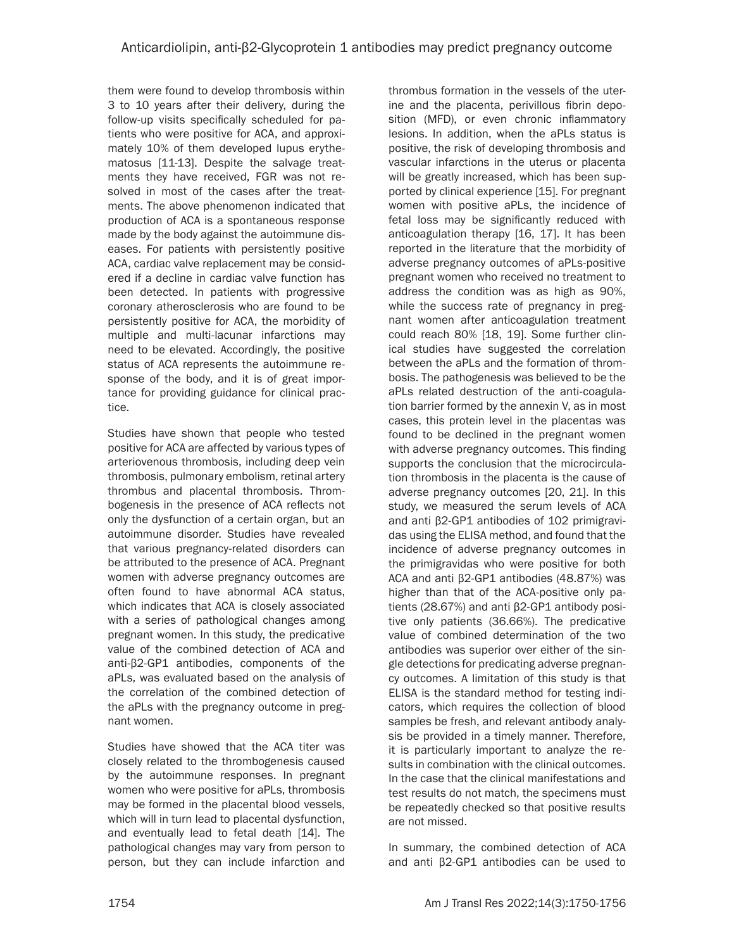them were found to develop thrombosis within 3 to 10 years after their delivery, during the follow-up visits specifically scheduled for patients who were positive for ACA, and approximately 10% of them developed lupus erythematosus [11-13]. Despite the salvage treatments they have received, FGR was not resolved in most of the cases after the treatments. The above phenomenon indicated that production of ACA is a spontaneous response made by the body against the autoimmune diseases. For patients with persistently positive ACA, cardiac valve replacement may be considered if a decline in cardiac valve function has been detected. In patients with progressive coronary atherosclerosis who are found to be persistently positive for ACA, the morbidity of multiple and multi-lacunar infarctions may need to be elevated. Accordingly, the positive status of ACA represents the autoimmune response of the body, and it is of great importance for providing guidance for clinical practice.

Studies have shown that people who tested positive for ACA are affected by various types of arteriovenous thrombosis, including deep vein thrombosis, pulmonary embolism, retinal artery thrombus and placental thrombosis. Thrombogenesis in the presence of ACA reflects not only the dysfunction of a certain organ, but an autoimmune disorder. Studies have revealed that various pregnancy-related disorders can be attributed to the presence of ACA. Pregnant women with adverse pregnancy outcomes are often found to have abnormal ACA status, which indicates that ACA is closely associated with a series of pathological changes among pregnant women. In this study, the predicative value of the combined detection of ACA and anti-β2-GP1 antibodies, components of the aPLs, was evaluated based on the analysis of the correlation of the combined detection of the aPLs with the pregnancy outcome in pregnant women.

Studies have showed that the ACA titer was closely related to the thrombogenesis caused by the autoimmune responses. In pregnant women who were positive for aPLs, thrombosis may be formed in the placental blood vessels, which will in turn lead to placental dysfunction, and eventually lead to fetal death [14]. The pathological changes may vary from person to person, but they can include infarction and thrombus formation in the vessels of the uterine and the placenta, perivillous fibrin deposition (MFD), or even chronic inflammatory lesions. In addition, when the aPLs status is positive, the risk of developing thrombosis and vascular infarctions in the uterus or placenta will be greatly increased, which has been supported by clinical experience [15]. For pregnant women with positive aPLs, the incidence of fetal loss may be significantly reduced with anticoagulation therapy [16, 17]. It has been reported in the literature that the morbidity of adverse pregnancy outcomes of aPLs-positive pregnant women who received no treatment to address the condition was as high as 90%, while the success rate of pregnancy in pregnant women after anticoagulation treatment could reach 80% [18, 19]. Some further clinical studies have suggested the correlation between the aPLs and the formation of thrombosis. The pathogenesis was believed to be the aPLs related destruction of the anti-coagulation barrier formed by the annexin V, as in most cases, this protein level in the placentas was found to be declined in the pregnant women with adverse pregnancy outcomes. This finding supports the conclusion that the microcirculation thrombosis in the placenta is the cause of adverse pregnancy outcomes [20, 21]. In this study, we measured the serum levels of ACA and anti β2-GP1 antibodies of 102 primigravidas using the ELISA method, and found that the incidence of adverse pregnancy outcomes in the primigravidas who were positive for both ACA and anti β2-GP1 antibodies (48.87%) was higher than that of the ACA-positive only patients (28.67%) and anti β2-GP1 antibody positive only patients (36.66%). The predicative value of combined determination of the two antibodies was superior over either of the single detections for predicating adverse pregnancy outcomes. A limitation of this study is that ELISA is the standard method for testing indicators, which requires the collection of blood samples be fresh, and relevant antibody analysis be provided in a timely manner. Therefore, it is particularly important to analyze the results in combination with the clinical outcomes. In the case that the clinical manifestations and test results do not match, the specimens must be repeatedly checked so that positive results are not missed.

In summary, the combined detection of ACA and anti β2-GP1 antibodies can be used to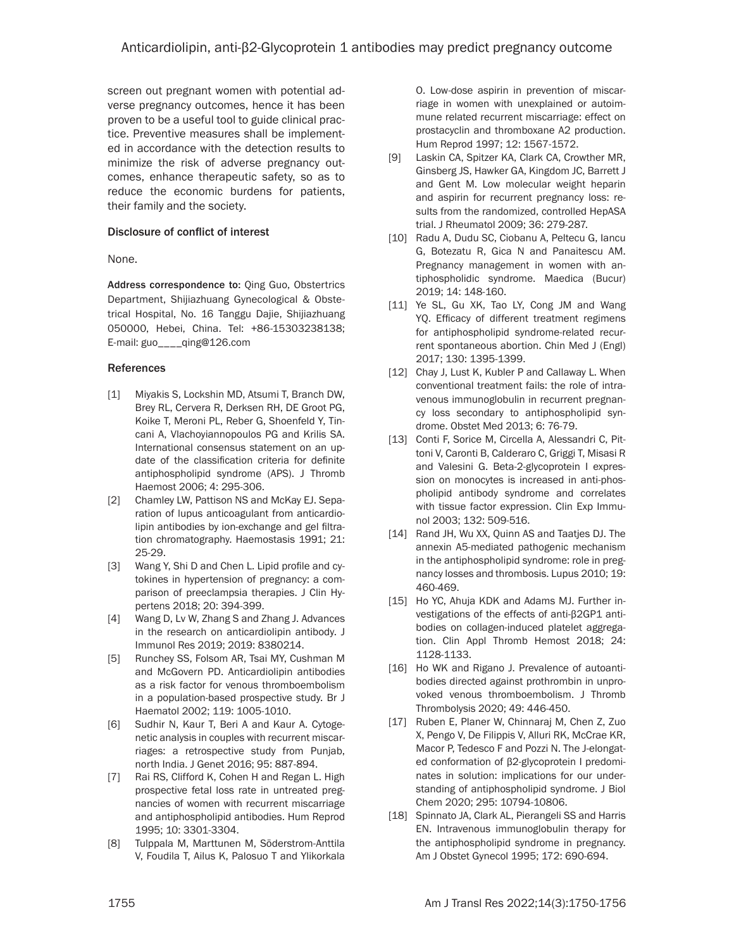screen out pregnant women with potential adverse pregnancy outcomes, hence it has been proven to be a useful tool to guide clinical practice. Preventive measures shall be implemented in accordance with the detection results to minimize the risk of adverse pregnancy outcomes, enhance therapeutic safety, so as to reduce the economic burdens for patients, their family and the society.

### Disclosure of conflict of interest

None.

Address correspondence to: Qing Guo, Obstertrics Department, Shijiazhuang Gynecological & Obstetrical Hospital, No. 16 Tanggu Dajie, Shijiazhuang 050000, Hebei, China. Tel: +86-15303238138; E-mail: guo\_\_\_\_qing@126.com

#### References

- [1] Miyakis S, Lockshin MD, Atsumi T, Branch DW, Brey RL, Cervera R, Derksen RH, DE Groot PG, Koike T, Meroni PL, Reber G, Shoenfeld Y, Tincani A, Vlachoyiannopoulos PG and Krilis SA. International consensus statement on an update of the classification criteria for definite antiphospholipid syndrome (APS). J Thromb Haemost 2006; 4: 295-306.
- [2] Chamley LW, Pattison NS and McKay EJ. Separation of lupus anticoagulant from anticardiolipin antibodies by ion-exchange and gel filtration chromatography. Haemostasis 1991; 21: 25-29.
- [3] Wang Y, Shi D and Chen L. Lipid profile and cytokines in hypertension of pregnancy: a comparison of preeclampsia therapies. J Clin Hypertens 2018; 20: 394-399.
- [4] Wang D, Lv W, Zhang S and Zhang J. Advances in the research on anticardiolipin antibody. J Immunol Res 2019; 2019: 8380214.
- [5] Runchey SS, Folsom AR, Tsai MY, Cushman M and McGovern PD. Anticardiolipin antibodies as a risk factor for venous thromboembolism in a population-based prospective study. Br J Haematol 2002; 119: 1005-1010.
- [6] Sudhir N, Kaur T, Beri A and Kaur A. Cytogenetic analysis in couples with recurrent miscarriages: a retrospective study from Punjab, north India. J Genet 2016; 95: 887-894.
- [7] Rai RS, Clifford K, Cohen H and Regan L. High prospective fetal loss rate in untreated pregnancies of women with recurrent miscarriage and antiphospholipid antibodies. Hum Reprod 1995; 10: 3301-3304.
- [8] Tulppala M, Marttunen M, Söderstrom-Anttila V, Foudila T, Ailus K, Palosuo T and Ylikorkala

O. Low-dose aspirin in prevention of miscarriage in women with unexplained or autoimmune related recurrent miscarriage: effect on prostacyclin and thromboxane A2 production. Hum Reprod 1997; 12: 1567-1572.

- [9] Laskin CA, Spitzer KA, Clark CA, Crowther MR, Ginsberg JS, Hawker GA, Kingdom JC, Barrett J and Gent M. Low molecular weight heparin and aspirin for recurrent pregnancy loss: results from the randomized, controlled HepASA trial. J Rheumatol 2009; 36: 279-287.
- [10] Radu A, Dudu SC, Ciobanu A, Peltecu G, Iancu G, Botezatu R, Gica N and Panaitescu AM. Pregnancy management in women with antiphospholidic syndrome. Maedica (Bucur) 2019; 14: 148-160.
- [11] Ye SL, Gu XK, Tao LY, Cong JM and Wang YQ. Efficacy of different treatment regimens for antiphospholipid syndrome-related recurrent spontaneous abortion. Chin Med J (Engl) 2017; 130: 1395-1399.
- [12] Chay J, Lust K, Kubler P and Callaway L. When conventional treatment fails: the role of intravenous immunoglobulin in recurrent pregnancy loss secondary to antiphospholipid syndrome. Obstet Med 2013; 6: 76-79.
- [13] Conti F, Sorice M, Circella A, Alessandri C, Pittoni V, Caronti B, Calderaro C, Griggi T, Misasi R and Valesini G. Beta-2-glycoprotein I expression on monocytes is increased in anti-phospholipid antibody syndrome and correlates with tissue factor expression. Clin Exp Immunol 2003; 132: 509-516.
- [14] Rand JH, Wu XX, Quinn AS and Taatjes DJ. The annexin A5-mediated pathogenic mechanism in the antiphospholipid syndrome: role in pregnancy losses and thrombosis. Lupus 2010; 19: 460-469.
- [15] Ho YC, Ahuja KDK and Adams MJ. Further investigations of the effects of anti-β2GP1 antibodies on collagen-induced platelet aggregation. Clin Appl Thromb Hemost 2018; 24: 1128-1133.
- [16] Ho WK and Rigano J. Prevalence of autoantibodies directed against prothrombin in unprovoked venous thromboembolism. J Thromb Thrombolysis 2020; 49: 446-450.
- [17] Ruben E, Planer W, Chinnaraj M, Chen Z, Zuo X, Pengo V, De Filippis V, Alluri RK, McCrae KR, Macor P, Tedesco F and Pozzi N. The J-elongated conformation of β2-glycoprotein I predominates in solution: implications for our understanding of antiphospholipid syndrome. J Biol Chem 2020; 295: 10794-10806.
- [18] Spinnato JA, Clark AL, Pierangeli SS and Harris EN. Intravenous immunoglobulin therapy for the antiphospholipid syndrome in pregnancy. Am J Obstet Gynecol 1995; 172: 690-694.